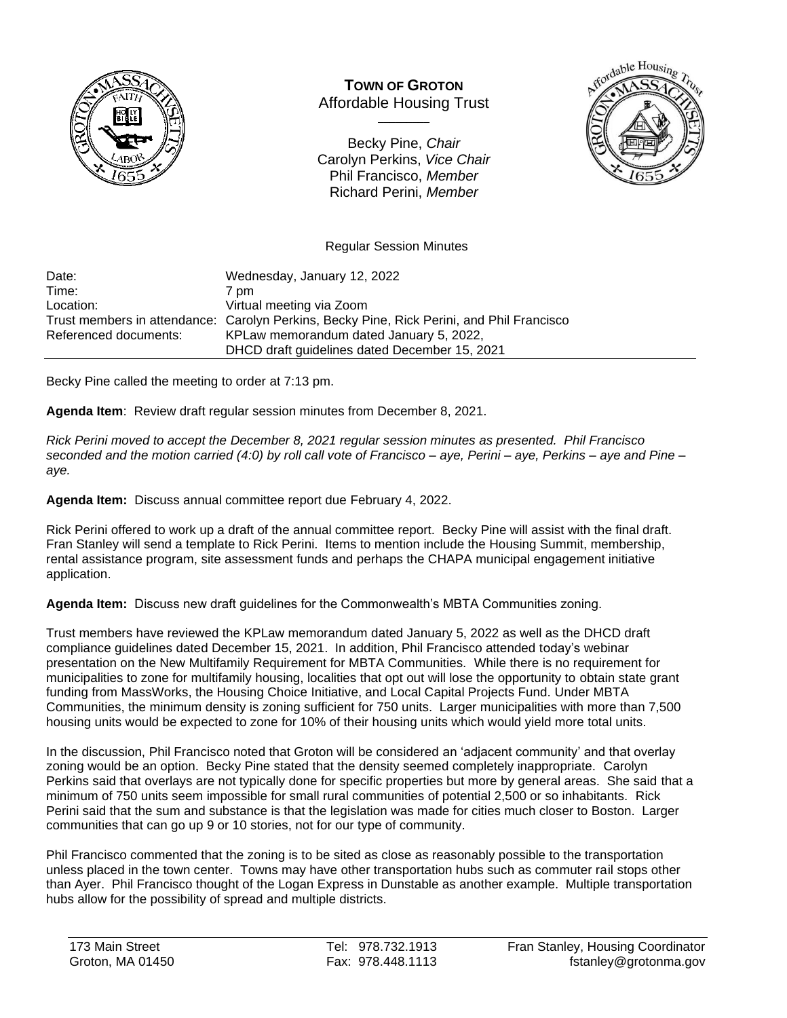

**TOWN OF GROTON** Affordable Housing Trust

 $\overline{\phantom{a}}$ 

Becky Pine, *Chair* Carolyn Perkins, *Vice Chair* Phil Francisco, *Member* Richard Perini, *Member*



Regular Session Minutes

Date: Wednesday, January 12, 2022<br>Time: 7 pm 7 pm Location: Virtual meeting via Zoom Trust members in attendance: Carolyn Perkins, Becky Pine, Rick Perini, and Phil Francisco Referenced documents: KPLaw memorandum dated January 5, 2022, DHCD draft guidelines dated December 15, 2021

Becky Pine called the meeting to order at 7:13 pm.

**Agenda Item**: Review draft regular session minutes from December 8, 2021.

*Rick Perini moved to accept the December 8, 2021 regular session minutes as presented. Phil Francisco seconded and the motion carried (4:0) by roll call vote of Francisco – aye, Perini – aye, Perkins – aye and Pine – aye.*

**Agenda Item:** Discuss annual committee report due February 4, 2022.

Rick Perini offered to work up a draft of the annual committee report. Becky Pine will assist with the final draft. Fran Stanley will send a template to Rick Perini. Items to mention include the Housing Summit, membership, rental assistance program, site assessment funds and perhaps the CHAPA municipal engagement initiative application.

**Agenda Item:** Discuss new draft guidelines for the Commonwealth's MBTA Communities zoning.

Trust members have reviewed the KPLaw memorandum dated January 5, 2022 as well as the DHCD draft compliance guidelines dated December 15, 2021. In addition, Phil Francisco attended today's webinar presentation on the New Multifamily Requirement for MBTA Communities. While there is no requirement for municipalities to zone for multifamily housing, localities that opt out will lose the opportunity to obtain state grant funding from MassWorks, the Housing Choice Initiative, and Local Capital Projects Fund. Under MBTA Communities, the minimum density is zoning sufficient for 750 units. Larger municipalities with more than 7,500 housing units would be expected to zone for 10% of their housing units which would yield more total units.

In the discussion, Phil Francisco noted that Groton will be considered an 'adjacent community' and that overlay zoning would be an option. Becky Pine stated that the density seemed completely inappropriate. Carolyn Perkins said that overlays are not typically done for specific properties but more by general areas. She said that a minimum of 750 units seem impossible for small rural communities of potential 2,500 or so inhabitants. Rick Perini said that the sum and substance is that the legislation was made for cities much closer to Boston. Larger communities that can go up 9 or 10 stories, not for our type of community.

Phil Francisco commented that the zoning is to be sited as close as reasonably possible to the transportation unless placed in the town center. Towns may have other transportation hubs such as commuter rail stops other than Ayer. Phil Francisco thought of the Logan Express in Dunstable as another example. Multiple transportation hubs allow for the possibility of spread and multiple districts.